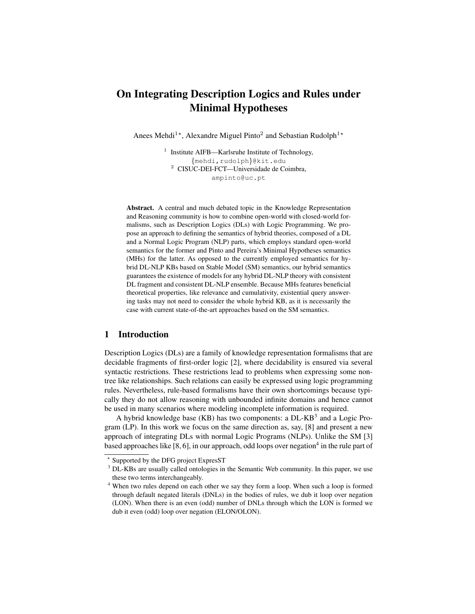# On Integrating Description Logics and Rules under Minimal Hypotheses

Anees Mehdi<sup>1\*</sup>, Alexandre Miguel Pinto<sup>2</sup> and Sebastian Rudolph<sup>1\*</sup>

<sup>1</sup> Institute AIFB—Karlsruhe Institute of Technology, {mehdi,rudolph}@kit.edu <sup>2</sup> CISUC-DEI-FCT—Universidade de Coimbra, ampinto@uc.pt

Abstract. A central and much debated topic in the Knowledge Representation and Reasoning community is how to combine open-world with closed-world formalisms, such as Description Logics (DLs) with Logic Programming. We propose an approach to defining the semantics of hybrid theories, composed of a DL and a Normal Logic Program (NLP) parts, which employs standard open-world semantics for the former and Pinto and Pereira's Minimal Hypotheses semantics (MHs) for the latter. As opposed to the currently employed semantics for hybrid DL-NLP KBs based on Stable Model (SM) semantics, our hybrid semantics guarantees the existence of models for any hybrid DL-NLP theory with consistent DL fragment and consistent DL-NLP ensemble. Because MHs features beneficial theoretical properties, like relevance and cumulativity, existential query answering tasks may not need to consider the whole hybrid KB, as it is necessarily the case with current state-of-the-art approaches based on the SM semantics.

# 1 Introduction

Description Logics (DLs) are a family of knowledge representation formalisms that are decidable fragments of first-order logic [2], where decidability is ensured via several syntactic restrictions. These restrictions lead to problems when expressing some nontree like relationships. Such relations can easily be expressed using logic programming rules. Nevertheless, rule-based formalisms have their own shortcomings because typically they do not allow reasoning with unbounded infinite domains and hence cannot be used in many scenarios where modeling incomplete information is required.

A hybrid knowledge base (KB) has two components: a DL-KB<sup>3</sup> and a Logic Program (LP). In this work we focus on the same direction as, say, [8] and present a new approach of integrating DLs with normal Logic Programs (NLPs). Unlike the SM [3] based approaches like [8, 6], in our approach, odd loops over negation $^4$  in the rule part of

<sup>?</sup> Supported by the DFG project ExpresST

<sup>&</sup>lt;sup>3</sup> DL-KBs are usually called ontologies in the Semantic Web community. In this paper, we use these two terms interchangeably.

<sup>4</sup> When two rules depend on each other we say they form a loop. When such a loop is formed through default negated literals (DNLs) in the bodies of rules, we dub it loop over negation (LON). When there is an even (odd) number of DNLs through which the LON is formed we dub it even (odd) loop over negation (ELON/OLON).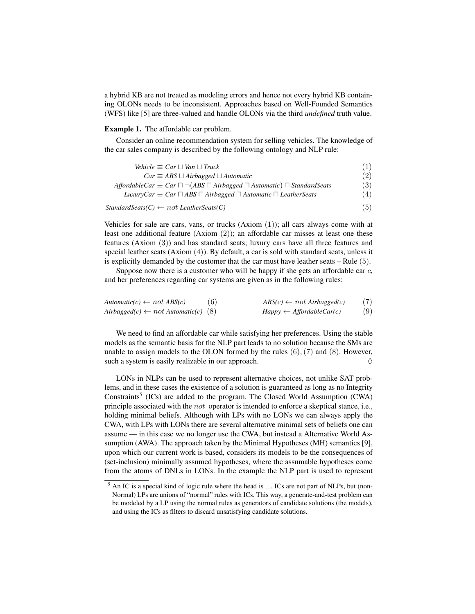a hybrid KB are not treated as modeling errors and hence not every hybrid KB containing OLONs needs to be inconsistent. Approaches based on Well-Founded Semantics (WFS) like [5] are three-valued and handle OLONs via the third *undefined* truth value.

#### Example 1. The affordable car problem.

Consider an online recommendation system for selling vehicles. The knowledge of the car sales company is described by the following ontology and NLP rule:

| Vehicle $\equiv$ Car $\sqcup$ Van $\sqcup$ Truck                                                    | (1) |
|-----------------------------------------------------------------------------------------------------|-----|
| $Car \equiv ABS \sqcup Airbagged \sqcup Automatic$                                                  | (2) |
| AffordableCar $\equiv$ Car $\Box \neg$ (ABS $\Box$ Airbagged $\Box$ Automatic) $\Box$ StandardSeats | (3) |
| LuxuryCar $\equiv$ Car $\Box$ ABS $\Box$ Airbagged $\Box$ Automatic $\Box$ LeatherSeats             | (4) |
|                                                                                                     |     |

*StandardSeats(C)* ← not *LeatherSeats(C)* (5)

Vehicles for sale are cars, vans, or trucks  $(Axiom (1))$ ; all cars always come with at least one additional feature (Axiom (2)); an affordable car misses at least one these features (Axiom (3)) and has standard seats; luxury cars have all three features and special leather seats (Axiom (4)). By default, a car is sold with standard seats, unless it is explicitly demanded by the customer that the car must have leather seats  $-$  Rule  $(5)$ .

Suppose now there is a customer who will be happy if she gets an affordable car  $c$ , and her preferences regarding car systems are given as in the following rules:

| $Automatic(c) \leftarrow not\, ABS(c)$         | (6) | $ABS(c) \leftarrow not Airbagged(c)$ | (7) |
|------------------------------------------------|-----|--------------------------------------|-----|
| $Airbagger(c) \leftarrow not$ Automatic(c) (8) |     | $Happy \leftarrow AffordableCar(c)$  | (9) |

We need to find an affordable car while satisfying her preferences. Using the stable models as the semantic basis for the NLP part leads to no solution because the SMs are unable to assign models to the OLON formed by the rules  $(6)$ ,  $(7)$  and  $(8)$ . However, such a system is easily realizable in our approach.  $\Diamond$ 

LONs in NLPs can be used to represent alternative choices, not unlike SAT problems, and in these cases the existence of a solution is guaranteed as long as no Integrity Constraints<sup>5</sup> (ICs) are added to the program. The Closed World Assumption (CWA) principle associated with the not operator is intended to enforce a skeptical stance, i.e., holding minimal beliefs. Although with LPs with no LONs we can always apply the CWA, with LPs with LONs there are several alternative minimal sets of beliefs one can assume — in this case we no longer use the CWA, but instead a Alternative World Assumption (AWA). The approach taken by the Minimal Hypotheses (MH) semantics [9], upon which our current work is based, considers its models to be the consequences of (set-inclusion) minimally assumed hypotheses, where the assumable hypotheses come from the atoms of DNLs in LONs. In the example the NLP part is used to represent

<sup>5</sup> An IC is a special kind of logic rule where the head is ⊥. ICs are not part of NLPs, but (non-Normal) LPs are unions of "normal" rules with ICs. This way, a generate-and-test problem can be modeled by a LP using the normal rules as generators of candidate solutions (the models), and using the ICs as filters to discard unsatisfying candidate solutions.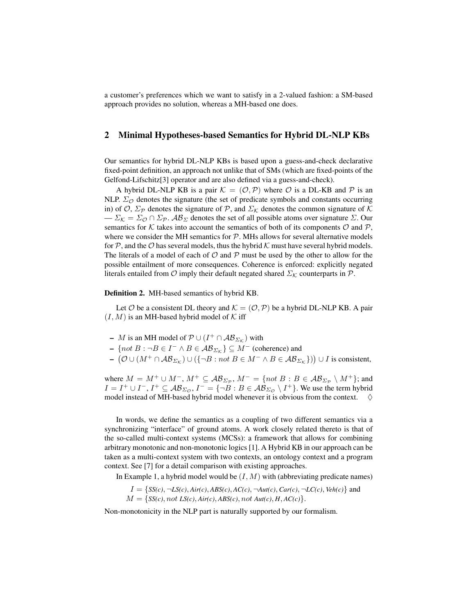a customer's preferences which we want to satisfy in a 2-valued fashion: a SM-based approach provides no solution, whereas a MH-based one does.

## 2 Minimal Hypotheses-based Semantics for Hybrid DL-NLP KBs

Our semantics for hybrid DL-NLP KBs is based upon a guess-and-check declarative fixed-point definition, an approach not unlike that of SMs (which are fixed-points of the Gelfond-Lifschitz[3] operator and are also defined via a guess-and-check).

A hybrid DL-NLP KB is a pair  $\mathcal{K} = (\mathcal{O}, \mathcal{P})$  where  $\mathcal O$  is a DL-KB and  $\mathcal P$  is an NLP.  $\Sigma_{\mathcal{O}}$  denotes the signature (the set of predicate symbols and constants occurring in) of  $\mathcal{O}, \Sigma_{\mathcal{P}}$  denotes the signature of  $\mathcal{P}$ , and  $\Sigma_{\mathcal{K}}$  denotes the common signature of  $\mathcal{K}$  $\sum_{\mathcal{K}} \sum_{\mathcal{O}} \cap \Sigma_{\mathcal{P}}$ .  $\mathcal{AB}_{\Sigma}$  denotes the set of all possible atoms over signature  $\Sigma$ . Our semantics for K takes into account the semantics of both of its components  $\mathcal O$  and  $\mathcal P$ , where we consider the MH semantics for  $P$ . MHs allows for several alternative models for  $P$ , and the  $O$  has several models, thus the hybrid K must have several hybrid models. The literals of a model of each of  $O$  and  $P$  must be used by the other to allow for the possible entailment of more consequences. Coherence is enforced: explicitly negated literals entailed from  $\mathcal O$  imply their default negated shared  $\Sigma_{\mathcal K}$  counterparts in  $\mathcal P$ .

Definition 2. MH-based semantics of hybrid KB.

Let O be a consistent DL theory and  $\mathcal{K} = (\mathcal{O}, \mathcal{P})$  be a hybrid DL-NLP KB. A pair  $(I, M)$  is an MH-based hybrid model of K iff

- $-$  *M* is an MH model of  $\mathcal{P} \cup (I^+ \cap \mathcal{AB}_{\Sigma_{\mathcal{K}}})$  with
- $\{ not B : \neg B \in I^- \wedge B \in \mathcal{AB}_{\Sigma_{\mathcal{K}}} \} \subseteq M^-$  (coherence) and
- $(\mathcal{O} \cup (M^+ \cap \mathcal{AB}_{\Sigma_K}) \cup (\{\neg B : not B \in M^- \wedge B \in \mathcal{AB}_{\Sigma_K}\}) ) \cup I$  is consistent,

where  $M = M^+ \cup M^-, M^+ \subseteq \mathcal{AB}_{\Sigma_{\mathcal{P}}}, M^- = \{not \in B : B \in \mathcal{AB}_{\Sigma_{\mathcal{P}}} \setminus M^+\};$  and  $I = I^+ \cup I^-, I^+ \subseteq \mathcal{AB}_{\Sigma_{\mathcal{O}}}, I^- = \{\neg B : B \in \mathcal{AB}_{\Sigma_{\mathcal{O}}} \setminus I^+\}$ . We use the term hybrid model instead of MH-based hybrid model whenever it is obvious from the context.  $\Diamond$ 

In words, we define the semantics as a coupling of two different semantics via a synchronizing "interface" of ground atoms. A work closely related thereto is that of the so-called multi-context systems (MCSs): a framework that allows for combining arbitrary monotonic and non-monotonic logics [1]. A Hybrid KB in our approach can be taken as a multi-context system with two contexts, an ontology context and a program context. See [7] for a detail comparison with existing approaches.

In Example 1, a hybrid model would be  $(I, M)$  with (abbreviating predicate names)

 $I = \{SS(c), \neg LS(c), Air(c), ABS(c), AC(c), \neg Aut(c), Car(c), \neg LC(c), Veh(c)\}$  and  $M = \{SS(c), not \, LS(c), Air(c), ABS(c), not \, Aut(c), H, AC(c)\}.$ 

Non-monotonicity in the NLP part is naturally supported by our formalism.